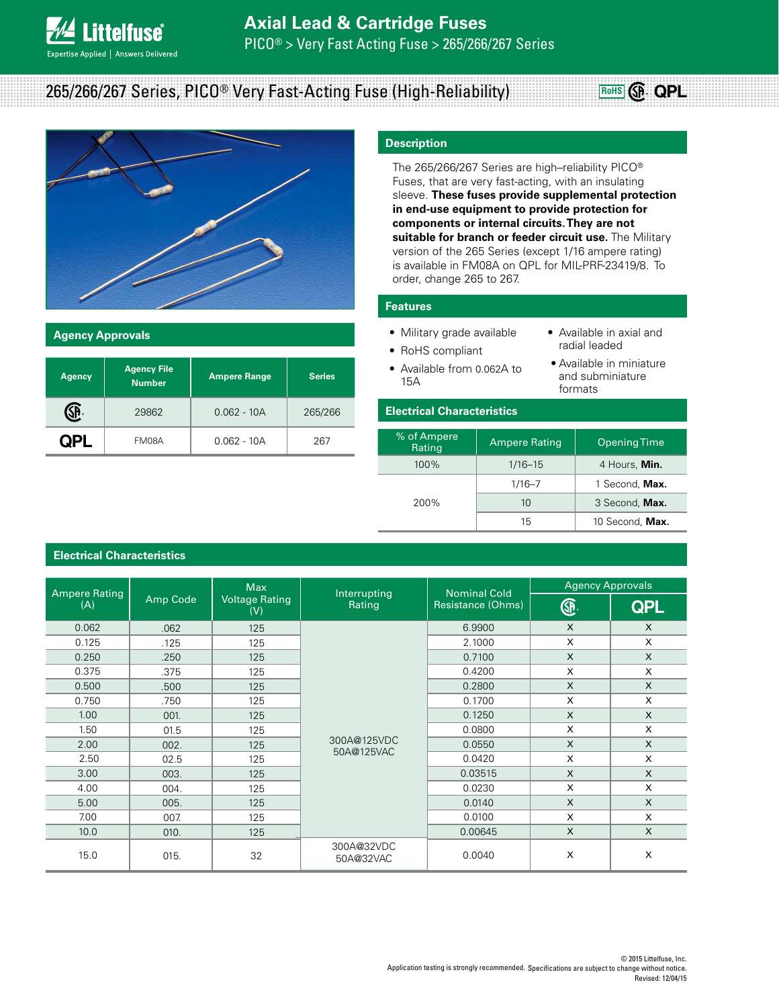# **Axial Lead & Cartridge Fuses**

PICO® > Very Fast Acting Fuse > 265/266/267 Series

# 265/266/267 Series, PICO® Very Fast-Acting Fuse (High-Reliability)



### **Agency Approvals**

**ittelfuse** 

**Expertise Applied | Answers Delivered** 

| <b>Agency</b> | <b>Agency File</b><br><b>Number</b> | <b>Ampere Range</b> | <b>Series</b> |
|---------------|-------------------------------------|---------------------|---------------|
|               | 29862                               | $0.062 - 10A$       | 265/266       |
|               | FM08A                               | $0.062 - 10A$       | 267           |

# **Description**

The 265/266/267 Series are high–reliability PICO® Fuses, that are very fast-acting, with an insulating sleeve. **These fuses provide supplemental protection in end-use equipment to provide protection for components or internal circuits. They are not suitable for branch or feeder circuit use.** The Military version of the 265 Series (except 1/16 ampere rating) is available in FM08A on QPL for MIL-PRF-23419/8. To order, change 265 to 267.

### **Features**

• Military grade available

• RoHS compliant

- Available in axial and radial leaded
- Available from 0.062A to 15A
- Available in miniature and subminiature formats

**RoHS QPL**

## **Electrical Characteristics**

| % of Ampere<br>Rating | <b>Ampere Rating</b> | <b>Opening Time</b> |
|-----------------------|----------------------|---------------------|
| $100\%$               | $1/16 - 15$          | 4 Hours, Min.       |
| 200%                  | $1/16 - 7$           | 1 Second, Max.      |
|                       | 10                   | 3 Second, Max.      |
|                       | 15                   | 10 Second, Max.     |

# **Electrical Characteristics**

| <b>Ampere Rating</b> |          | <b>Max</b>                   | Interrupting<br>Rating    | <b>Nominal Cold</b><br><b>Resistance (Ohms)</b> | <b>Agency Approvals</b> |              |
|----------------------|----------|------------------------------|---------------------------|-------------------------------------------------|-------------------------|--------------|
| (A)                  | Amp Code | <b>Voltage Rating</b><br>(V) |                           |                                                 | ®                       | <b>QPL</b>   |
| 0.062                | .062     | 125                          | 300A@125VDC<br>50A@125VAC | 6.9900                                          | $\mathsf{x}$            | X            |
| 0.125                | .125     | 125                          |                           | 2.1000                                          | $\times$                | X            |
| 0.250                | .250     | 125                          |                           | 0.7100                                          | $\times$                | X            |
| 0.375                | .375     | 125                          |                           | 0.4200                                          | X                       | X            |
| 0.500                | .500     | 125                          |                           | 0.2800                                          | $\mathsf{x}$            | $\mathsf{x}$ |
| 0.750                | .750     | 125                          |                           | 0.1700                                          | $\times$                | X            |
| 1.00                 | 001.     | 125                          |                           | 0.1250                                          | $\mathsf{x}$            | $\mathsf{x}$ |
| 1.50                 | 01.5     | 125                          |                           | 0.0800                                          | X                       | X            |
| 2.00                 | 002.     | 125                          |                           | 0.0550                                          | $\mathsf{x}$            | X            |
| 2.50                 | 02.5     | 125                          |                           | 0.0420                                          | $\times$                | X            |
| 3.00                 | 003.     | 125                          |                           | 0.03515                                         | $\mathsf{x}$            | X            |
| 4.00                 | 004.     | 125                          |                           | 0.0230                                          | X                       | X            |
| 5.00                 | 005.     | 125                          |                           | 0.0140                                          | $\mathsf{X}$            | X            |
| 7.00                 | 007.     | 125                          |                           | 0.0100                                          | $\times$                | X            |
| 10.0                 | 010.     | 125                          |                           | 0.00645                                         | X                       | X            |
| 15.0                 | 015.     | 32                           | 300A@32VDC<br>50A@32VAC   | 0.0040                                          | X                       | X            |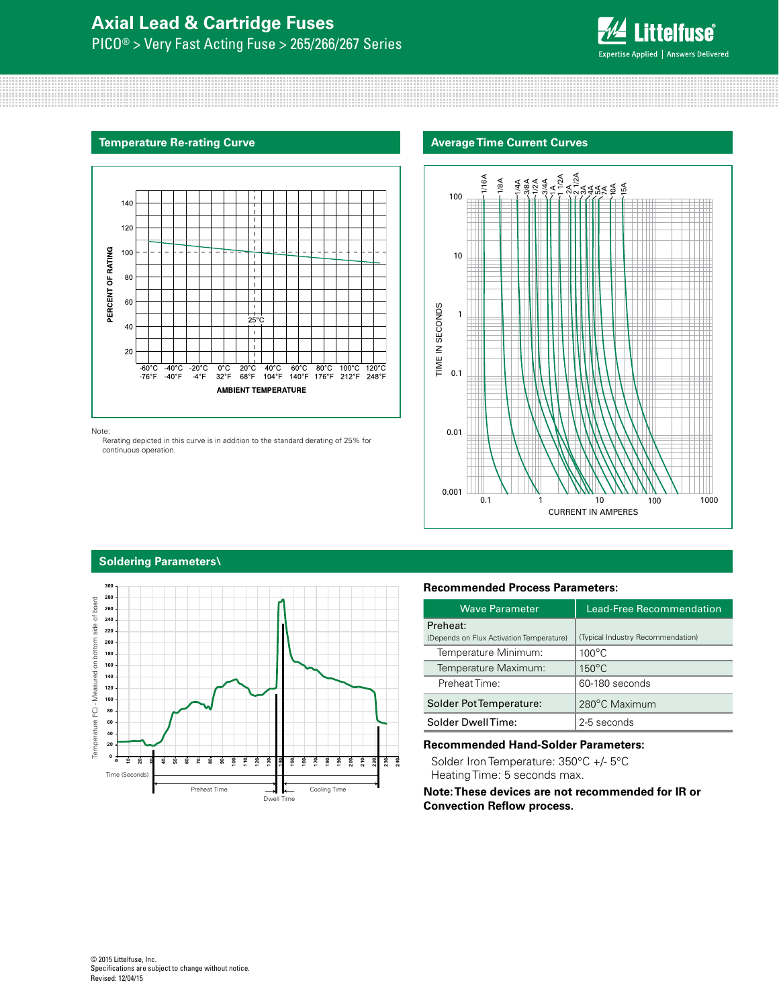# **Axial Lead & Cartridge Fuses** PICO® > Very Fast Acting Fuse > 265/266/267 Series



#### **Temperature Re-rating Curve**



#### Note:

 Rerating depicted in this curve is in addition to the standard derating of 25% for continuous operation.

#### **Average Time Current Curves**



# **Soldering Parameters\**



#### **Recommended Process Parameters:**

| <b>Waye Parameter</b>                                | <b>Lead-Free Recommendation</b>   |  |
|------------------------------------------------------|-----------------------------------|--|
| Preheat:<br>(Depends on Flux Activation Temperature) | (Typical Industry Recommendation) |  |
| Temperature Minimum:                                 | $100^{\circ}$ C                   |  |
| Temperature Maximum:                                 | $150^{\circ}$ C                   |  |
| Preheat Time:                                        | 60-180 seconds                    |  |
| Solder Pot Temperature:                              | 280°C Maximum                     |  |
| Solder DwellTime:                                    | 2-5 seconds                       |  |

#### **Recommended Hand-Solder Parameters:**

Solder Iron Temperature: 350°C +/- 5°C Heating Time: 5 seconds max.

**Note: These devices are not recommended for IR or Convection Reflow process.**